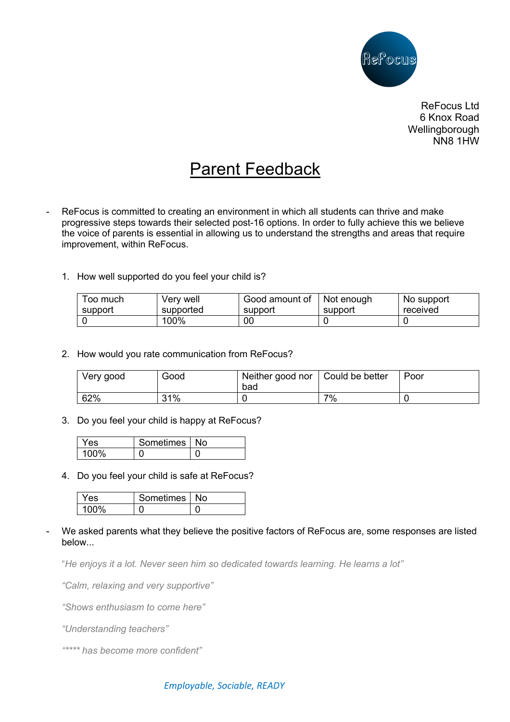

ReFocus Ltd 6 Knox Road **Wellingborough** NN8 1HW

## Parent Feedback

- ReFocus is committed to creating an environment in which all students can thrive and make progressive steps towards their selected post-16 options. In order to fully achieve this we believe the voice of parents is essential in allowing us to understand the strengths and areas that require improvement, within ReFocus.
	- 1. How well supported do you feel your child is?

| Too much | Very well | Good amount of | Not enough | No support |
|----------|-----------|----------------|------------|------------|
| support  | supported | support        | support    | received   |
|          | 100%      | 00             |            |            |

2. How would you rate communication from ReFocus?

| Very good | Good | Neither good nor   Could be better<br>bad |    | Poor |
|-----------|------|-------------------------------------------|----|------|
| 62%       | 31%  |                                           | 7% |      |

3. Do you feel your child is happy at ReFocus?

| Y es | Sometimes   ' | N٥ |
|------|---------------|----|
|      |               |    |

4. Do you feel your child is safe at ReFocus?

| Yes | Sometimes   No |  |
|-----|----------------|--|
|     |                |  |

We asked parents what they believe the positive factors of ReFocus are, some responses are listed below...

"*He enjoys it a lot. Never seen him so dedicated towards learning. He learns a lot"*

*"Calm, relaxing and very supportive"*

*"Shows enthusiasm to come here"*

*"Understanding teachers"*

*"\*\*\*\* has become more confident"*

## *Employable, Sociable, READY*